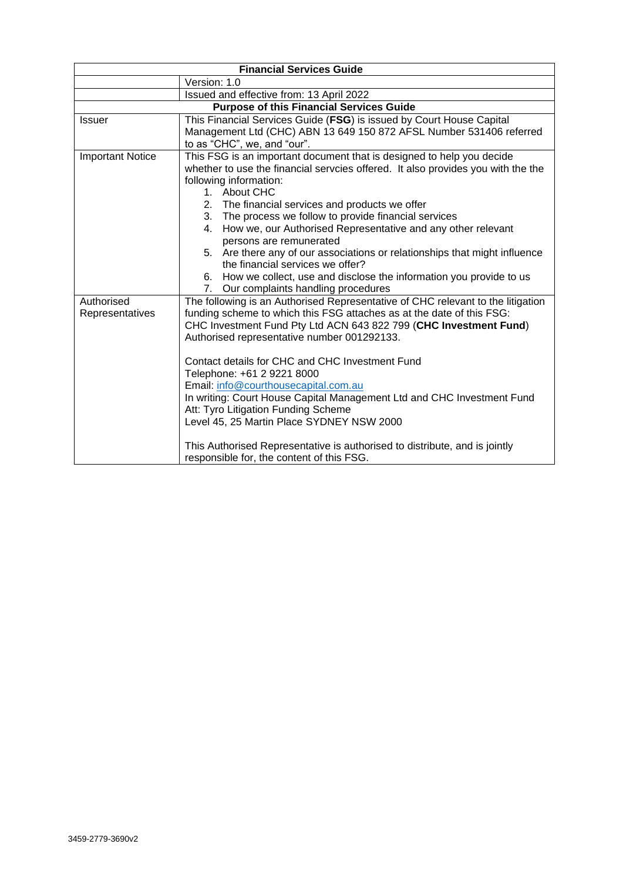| <b>Financial Services Guide</b>                 |                                                                                                                                                                                                                                                                                     |
|-------------------------------------------------|-------------------------------------------------------------------------------------------------------------------------------------------------------------------------------------------------------------------------------------------------------------------------------------|
|                                                 | Version: 1.0                                                                                                                                                                                                                                                                        |
|                                                 | Issued and effective from: 13 April 2022                                                                                                                                                                                                                                            |
| <b>Purpose of this Financial Services Guide</b> |                                                                                                                                                                                                                                                                                     |
| <b>Issuer</b>                                   | This Financial Services Guide (FSG) is issued by Court House Capital<br>Management Ltd (CHC) ABN 13 649 150 872 AFSL Number 531406 referred<br>to as "CHC", we, and "our".                                                                                                          |
| <b>Important Notice</b>                         | This FSG is an important document that is designed to help you decide<br>whether to use the financial servcies offered. It also provides you with the the<br>following information:<br>About CHC<br>$1_{-}$                                                                         |
|                                                 | 2. The financial services and products we offer                                                                                                                                                                                                                                     |
|                                                 | 3. The process we follow to provide financial services<br>4. How we, our Authorised Representative and any other relevant<br>persons are remunerated                                                                                                                                |
|                                                 | 5. Are there any of our associations or relationships that might influence<br>the financial services we offer?                                                                                                                                                                      |
|                                                 | 6. How we collect, use and disclose the information you provide to us<br>Our complaints handling procedures<br>7.                                                                                                                                                                   |
| Authorised<br>Representatives                   | The following is an Authorised Representative of CHC relevant to the litigation<br>funding scheme to which this FSG attaches as at the date of this FSG:<br>CHC Investment Fund Pty Ltd ACN 643 822 799 (CHC Investment Fund)<br>Authorised representative number 001292133.        |
|                                                 | Contact details for CHC and CHC Investment Fund<br>Telephone: +61 2 9221 8000<br>Email: info@courthousecapital.com.au<br>In writing: Court House Capital Management Ltd and CHC Investment Fund<br>Att: Tyro Litigation Funding Scheme<br>Level 45, 25 Martin Place SYDNEY NSW 2000 |
|                                                 | This Authorised Representative is authorised to distribute, and is jointly<br>responsible for, the content of this FSG.                                                                                                                                                             |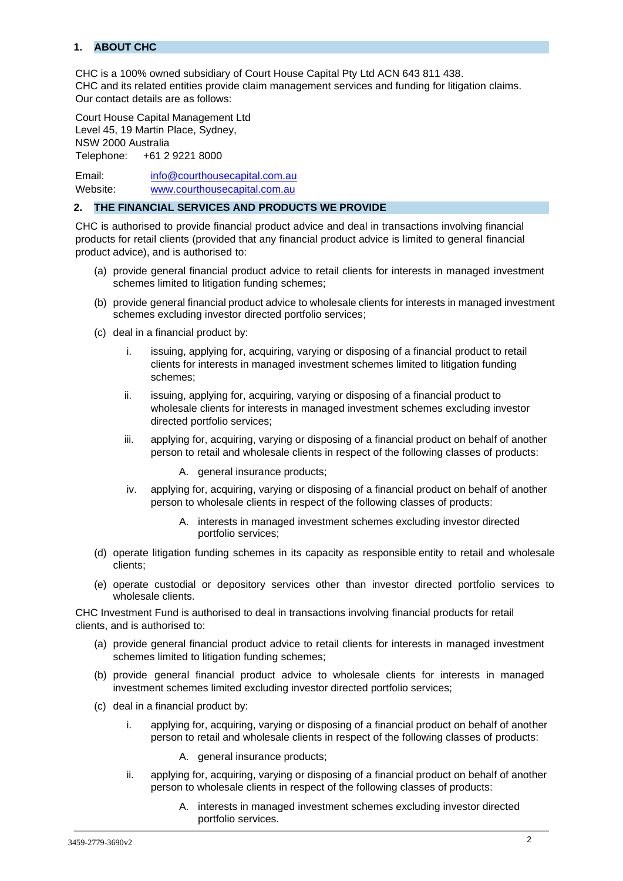# **1. ABOUT CHC**

CHC is a 100% owned subsidiary of Court House Capital Pty Ltd ACN 643 811 438. CHC and its related entities provide claim management services and funding for litigation claims. Our contact details are as follows:

Court House Capital Management Ltd Level 45, 19 Martin Place, Sydney, NSW 2000 Australia Telephone: +61 2 9221 8000

Email: info@courthousecapital.com.au Website: www.courthousecapital.com.au

### **2. THE FINANCIAL SERVICES AND PRODUCTS WE PROVIDE**

CHC is authorised to provide financial product advice and deal in transactions involving financial products for retail clients (provided that any financial product advice is limited to general financial product advice), and is authorised to:

- (a) provide general financial product advice to retail clients for interests in managed investment schemes limited to litigation funding schemes;
- (b) provide general financial product advice to wholesale clients for interests in managed investment schemes excluding investor directed portfolio services;
- (c) deal in a financial product by:
	- i. issuing, applying for, acquiring, varying or disposing of a financial product to retail clients for interests in managed investment schemes limited to litigation funding schemes;
	- ii. issuing, applying for, acquiring, varying or disposing of a financial product to wholesale clients for interests in managed investment schemes excluding investor directed portfolio services;
	- iii. applying for, acquiring, varying or disposing of a financial product on behalf of another person to retail and wholesale clients in respect of the following classes of products:
		- A. general insurance products;
	- iv. applying for, acquiring, varying or disposing of a financial product on behalf of another person to wholesale clients in respect of the following classes of products:
		- A. interests in managed investment schemes excluding investor directed portfolio services;
- (d) operate litigation funding schemes in its capacity as responsible entity to retail and wholesale clients;
- (e) operate custodial or depository services other than investor directed portfolio services to wholesale clients.

CHC Investment Fund is authorised to deal in transactions involving financial products for retail clients, and is authorised to:

- (a) provide general financial product advice to retail clients for interests in managed investment schemes limited to litigation funding schemes;
- (b) provide general financial product advice to wholesale clients for interests in managed investment schemes limited excluding investor directed portfolio services;
- (c) deal in a financial product by:
	- i. applying for, acquiring, varying or disposing of a financial product on behalf of another person to retail and wholesale clients in respect of the following classes of products:
		- A. general insurance products;
	- ii. applying for, acquiring, varying or disposing of a financial product on behalf of another person to wholesale clients in respect of the following classes of products:
		- A. interests in managed investment schemes excluding investor directed portfolio services.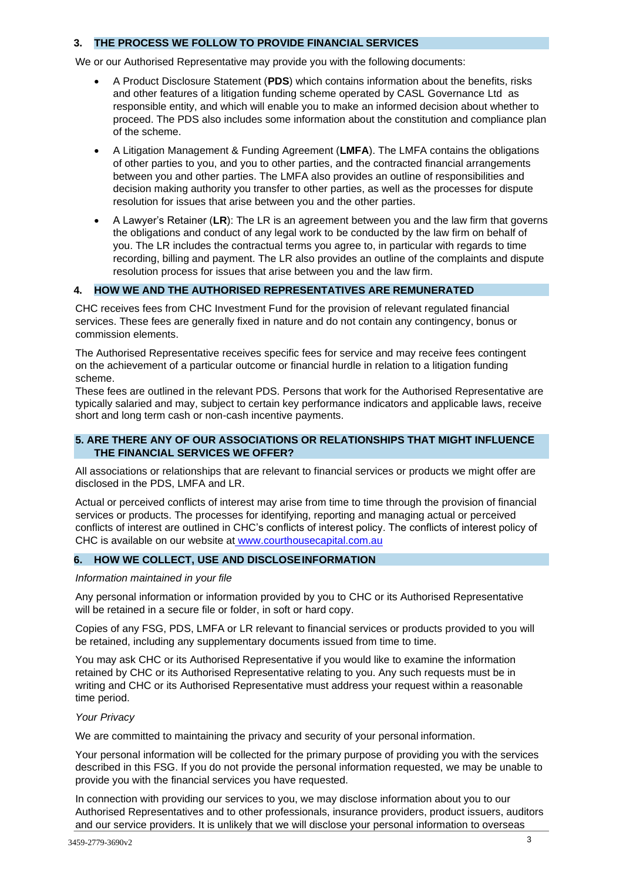### **3. THE PROCESS WE FOLLOW TO PROVIDE FINANCIAL SERVICES**

We or our Authorised Representative may provide you with the following documents:

- A Product Disclosure Statement (**PDS**) which contains information about the benefits, risks and other features of a litigation funding scheme operated by CASL Governance Ltd as responsible entity, and which will enable you to make an informed decision about whether to proceed. The PDS also includes some information about the constitution and compliance plan of the scheme.
- A Litigation Management & Funding Agreement (**LMFA**). The LMFA contains the obligations of other parties to you, and you to other parties, and the contracted financial arrangements between you and other parties. The LMFA also provides an outline of responsibilities and decision making authority you transfer to other parties, as well as the processes for dispute resolution for issues that arise between you and the other parties.
- A Lawyer's Retainer (**LR**): The LR is an agreement between you and the law firm that governs the obligations and conduct of any legal work to be conducted by the law firm on behalf of you. The LR includes the contractual terms you agree to, in particular with regards to time recording, billing and payment. The LR also provides an outline of the complaints and dispute resolution process for issues that arise between you and the law firm.

## **4. HOW WE AND THE AUTHORISED REPRESENTATIVES ARE REMUNERATED**

CHC receives fees from CHC Investment Fund for the provision of relevant regulated financial services. These fees are generally fixed in nature and do not contain any contingency, bonus or commission elements.

The Authorised Representative receives specific fees for service and may receive fees contingent on the achievement of a particular outcome or financial hurdle in relation to a litigation funding scheme.

These fees are outlined in the relevant PDS. Persons that work for the Authorised Representative are typically salaried and may, subject to certain key performance indicators and applicable laws, receive short and long term cash or non-cash incentive payments.

### **5. ARE THERE ANY OF OUR ASSOCIATIONS OR RELATIONSHIPS THAT MIGHT INFLUENCE THE FINANCIAL SERVICES WE OFFER?**

All associations or relationships that are relevant to financial services or products we might offer are disclosed in the PDS, LMFA and LR.

Actual or perceived conflicts of interest may arise from time to time through the provision of financial services or products. The processes for identifying, reporting and managing actual or perceived conflicts of interest are outlined in CHC's conflicts of interest policy. The conflicts of interest policy of CHC is available on our website at www.courthousecapital.com.au

### **6. HOW WE COLLECT, USE AND DISCLOSEINFORMATION**

#### *Information maintained in your file*

Any personal information or information provided by you to CHC or its Authorised Representative will be retained in a secure file or folder, in soft or hard copy.

Copies of any FSG, PDS, LMFA or LR relevant to financial services or products provided to you will be retained, including any supplementary documents issued from time to time.

You may ask CHC or its Authorised Representative if you would like to examine the information retained by CHC or its Authorised Representative relating to you. Any such requests must be in writing and CHC or its Authorised Representative must address your request within a reasonable time period.

#### *Your Privacy*

We are committed to maintaining the privacy and security of your personal information.

Your personal information will be collected for the primary purpose of providing you with the services described in this FSG. If you do not provide the personal information requested, we may be unable to provide you with the financial services you have requested.

In connection with providing our services to you, we may disclose information about you to our Authorised Representatives and to other professionals, insurance providers, product issuers, auditors and our service providers. It is unlikely that we will disclose your personal information to overseas